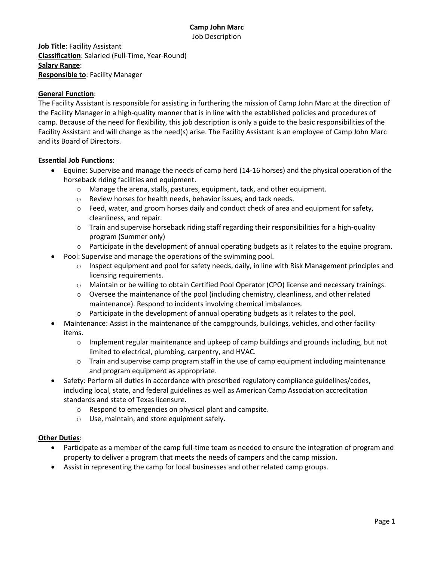Job Description

**Job Title**: Facility Assistant **Classification**: Salaried (Full-Time, Year-Round) **Salary Range**: **Responsible to**: Facility Manager

# **General Function**:

The Facility Assistant is responsible for assisting in furthering the mission of Camp John Marc at the direction of the Facility Manager in a high-quality manner that is in line with the established policies and procedures of camp. Because of the need for flexibility, this job description is only a guide to the basic responsibilities of the Facility Assistant and will change as the need(s) arise. The Facility Assistant is an employee of Camp John Marc and its Board of Directors.

# **Essential Job Functions**:

- Equine: Supervise and manage the needs of camp herd (14-16 horses) and the physical operation of the horseback riding facilities and equipment.
	- o Manage the arena, stalls, pastures, equipment, tack, and other equipment.
	- o Review horses for health needs, behavior issues, and tack needs.
	- $\circ$  Feed, water, and groom horses daily and conduct check of area and equipment for safety, cleanliness, and repair.
	- $\circ$  Train and supervise horseback riding staff regarding their responsibilities for a high-quality program (Summer only)
	- $\circ$  Participate in the development of annual operating budgets as it relates to the equine program.
- Pool: Supervise and manage the operations of the swimming pool.
	- $\circ$  Inspect equipment and pool for safety needs, daily, in line with Risk Management principles and licensing requirements.
	- o Maintain or be willing to obtain Certified Pool Operator (CPO) license and necessary trainings.
	- o Oversee the maintenance of the pool (including chemistry, cleanliness, and other related maintenance). Respond to incidents involving chemical imbalances.
	- $\circ$  Participate in the development of annual operating budgets as it relates to the pool.
- Maintenance: Assist in the maintenance of the campgrounds, buildings, vehicles, and other facility items.
	- $\circ$  Implement regular maintenance and upkeep of camp buildings and grounds including, but not limited to electrical, plumbing, carpentry, and HVAC.
	- $\circ$  Train and supervise camp program staff in the use of camp equipment including maintenance and program equipment as appropriate.
- Safety: Perform all duties in accordance with prescribed regulatory compliance guidelines/codes, including local, state, and federal guidelines as well as American Camp Association accreditation standards and state of Texas licensure.
	- o Respond to emergencies on physical plant and campsite.
	- o Use, maintain, and store equipment safely.

### **Other Duties**:

- Participate as a member of the camp full-time team as needed to ensure the integration of program and property to deliver a program that meets the needs of campers and the camp mission.
- Assist in representing the camp for local businesses and other related camp groups.